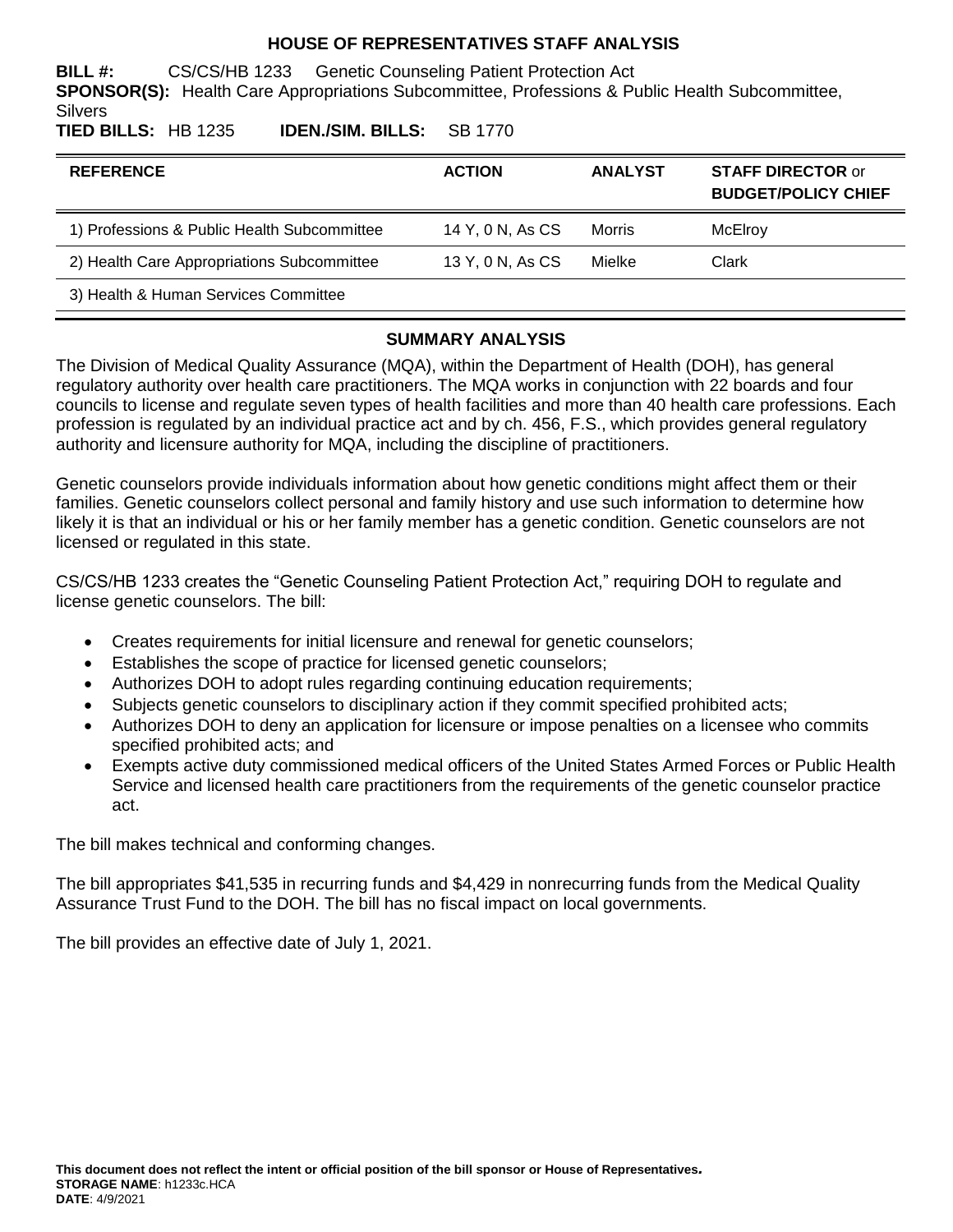#### **HOUSE OF REPRESENTATIVES STAFF ANALYSIS**

**BILL #:** CS/CS/HB 1233 Genetic Counseling Patient Protection Act **SPONSOR(S):** Health Care Appropriations Subcommittee, Professions & Public Health Subcommittee, **Silvers** 

**TIED BILLS:** HB 1235 **IDEN./SIM. BILLS:** SB 1770

| <b>REFERENCE</b>                            | <b>ACTION</b>    | <b>ANALYST</b> | <b>STAFF DIRECTOR or</b><br><b>BUDGET/POLICY CHIEF</b> |
|---------------------------------------------|------------------|----------------|--------------------------------------------------------|
| 1) Professions & Public Health Subcommittee | 14 Y, 0 N, As CS | Morris         | McElroy                                                |
| 2) Health Care Appropriations Subcommittee  | 13 Y, 0 N, As CS | Mielke         | Clark                                                  |
| 3) Health & Human Services Committee        |                  |                |                                                        |

#### **SUMMARY ANALYSIS**

The Division of Medical Quality Assurance (MQA), within the Department of Health (DOH), has general regulatory authority over health care practitioners. The MQA works in conjunction with 22 boards and four councils to license and regulate seven types of health facilities and more than 40 health care professions. Each profession is regulated by an individual practice act and by ch. 456, F.S., which provides general regulatory authority and licensure authority for MQA, including the discipline of practitioners.

Genetic counselors provide individuals information about how genetic conditions might affect them or their families. Genetic counselors collect personal and family history and use such information to determine how likely it is that an individual or his or her family member has a genetic condition. Genetic counselors are not licensed or regulated in this state.

CS/CS/HB 1233 creates the "Genetic Counseling Patient Protection Act," requiring DOH to regulate and license genetic counselors. The bill:

- Creates requirements for initial licensure and renewal for genetic counselors;
- Establishes the scope of practice for licensed genetic counselors;
- Authorizes DOH to adopt rules regarding continuing education requirements;
- Subjects genetic counselors to disciplinary action if they commit specified prohibited acts;
- Authorizes DOH to deny an application for licensure or impose penalties on a licensee who commits specified prohibited acts; and
- Exempts active duty commissioned medical officers of the United States Armed Forces or Public Health Service and licensed health care practitioners from the requirements of the genetic counselor practice act.

The bill makes technical and conforming changes.

The bill appropriates \$41,535 in recurring funds and \$4,429 in nonrecurring funds from the Medical Quality Assurance Trust Fund to the DOH. The bill has no fiscal impact on local governments.

The bill provides an effective date of July 1, 2021.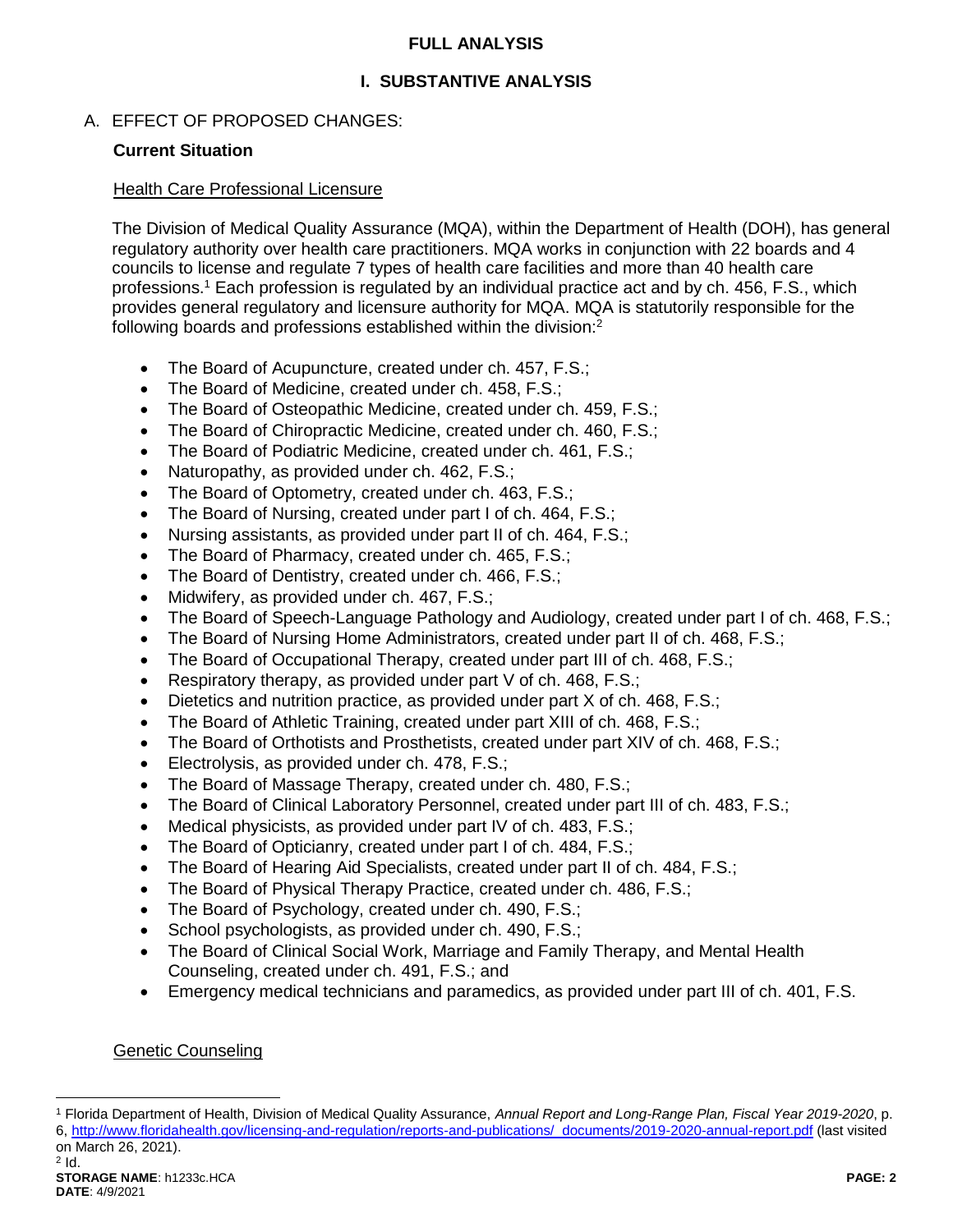### **FULL ANALYSIS**

# **I. SUBSTANTIVE ANALYSIS**

# A. EFFECT OF PROPOSED CHANGES:

# **Current Situation**

#### Health Care Professional Licensure

The Division of Medical Quality Assurance (MQA), within the Department of Health (DOH), has general regulatory authority over health care practitioners. MQA works in conjunction with 22 boards and 4 councils to license and regulate 7 types of health care facilities and more than 40 health care professions.<sup>1</sup> Each profession is regulated by an individual practice act and by ch. 456, F.S., which provides general regulatory and licensure authority for MQA. MQA is statutorily responsible for the following boards and professions established within the division:<sup>2</sup>

- The Board of Acupuncture, created under ch. 457, F.S.;
- The Board of Medicine, created under ch. 458, F.S.;
- The Board of Osteopathic Medicine, created under ch. 459, F.S.;
- The Board of Chiropractic Medicine, created under ch. 460, F.S.:
- The Board of Podiatric Medicine, created under ch. 461, F.S.;
- Naturopathy, as provided under ch. 462, F.S.;
- The Board of Optometry, created under ch. 463, F.S.;
- The Board of Nursing, created under part I of ch. 464, F.S.;
- Nursing assistants, as provided under part II of ch. 464, F.S.;
- The Board of Pharmacy, created under ch. 465, F.S.;
- The Board of Dentistry, created under ch. 466, F.S.;
- Midwifery, as provided under ch. 467, F.S.;
- The Board of Speech-Language Pathology and Audiology, created under part I of ch. 468, F.S.;
- The Board of Nursing Home Administrators, created under part II of ch. 468, F.S.;
- The Board of Occupational Therapy, created under part III of ch. 468, F.S.;
- Respiratory therapy, as provided under part V of ch. 468, F.S.;
- Dietetics and nutrition practice, as provided under part X of ch. 468, F.S.;
- The Board of Athletic Training, created under part XIII of ch. 468, F.S.;
- The Board of Orthotists and Prosthetists, created under part XIV of ch. 468, F.S.;
- **Electrolysis, as provided under ch. 478, F.S.;**
- The Board of Massage Therapy, created under ch. 480, F.S.;
- The Board of Clinical Laboratory Personnel, created under part III of ch. 483, F.S.;
- Medical physicists, as provided under part IV of ch. 483, F.S.;
- The Board of Opticianry, created under part I of ch. 484, F.S.;
- The Board of Hearing Aid Specialists, created under part II of ch. 484, F.S.;
- The Board of Physical Therapy Practice, created under ch. 486, F.S.;
- The Board of Psychology, created under ch. 490, F.S.;
- School psychologists, as provided under ch. 490, F.S.;
- The Board of Clinical Social Work, Marriage and Family Therapy, and Mental Health Counseling, created under ch. 491, F.S.; and
- Emergency medical technicians and paramedics, as provided under part III of ch. 401, F.S.

# Genetic Counseling

 $2$  Id.

 $\overline{a}$ 

<sup>1</sup> Florida Department of Health, Division of Medical Quality Assurance, *Annual Report and Long-Range Plan, Fiscal Year 2019-2020*, p. 6, [http://www.floridahealth.gov/licensing-and-regulation/reports-and-publications/\\_documents/2019-2020-annual-report.pdf](http://www.floridahealth.gov/licensing-and-regulation/reports-and-publications/_documents/2019-2020-annual-report.pdf) (last visited on March 26, 2021).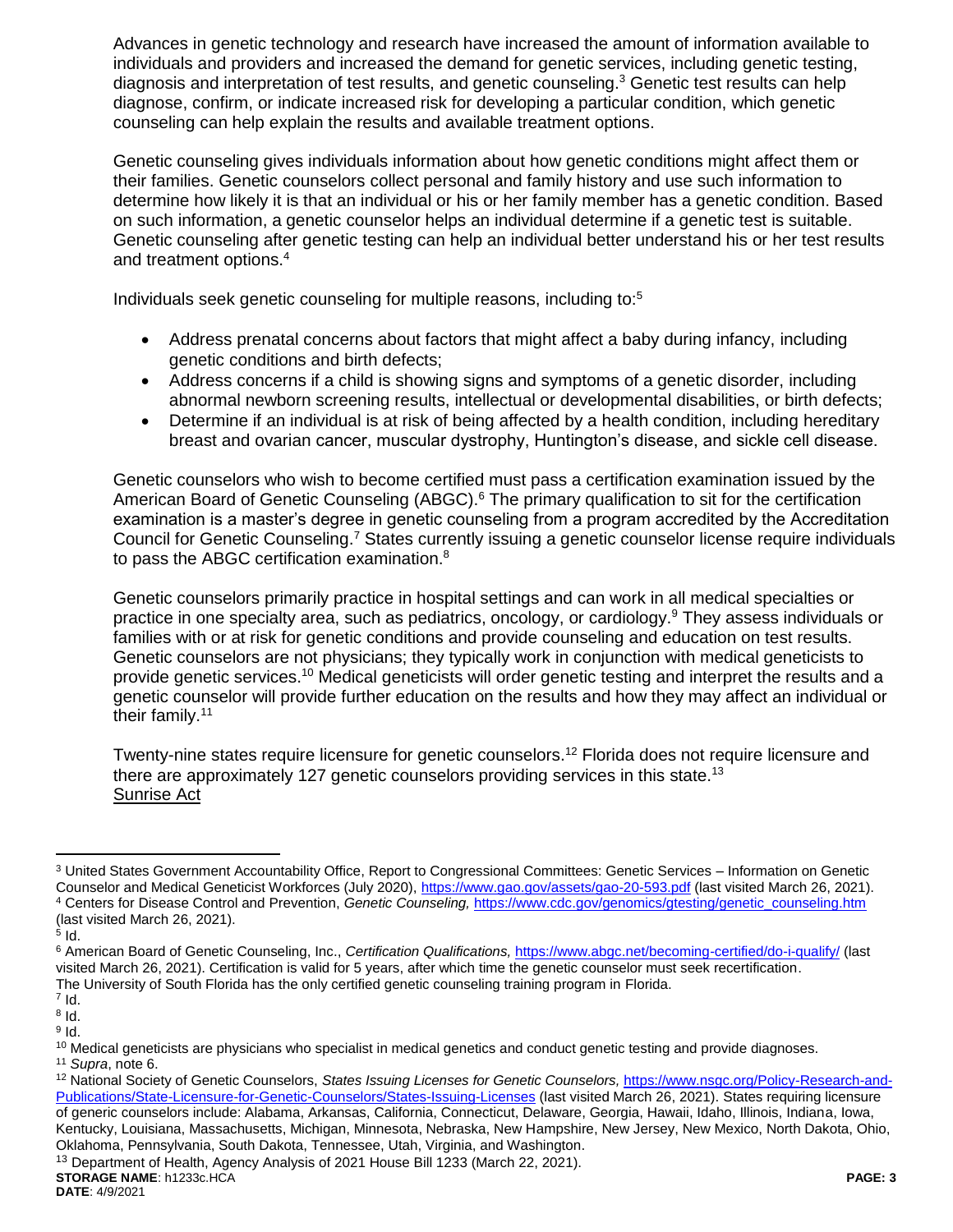Advances in genetic technology and research have increased the amount of information available to individuals and providers and increased the demand for genetic services, including genetic testing, diagnosis and interpretation of test results, and genetic counseling.<sup>3</sup> Genetic test results can help diagnose, confirm, or indicate increased risk for developing a particular condition, which genetic counseling can help explain the results and available treatment options.

Genetic counseling gives individuals information about how genetic conditions might affect them or their families. Genetic counselors collect personal and family history and use such information to determine how likely it is that an individual or his or her family member has a genetic condition. Based on such information, a genetic counselor helps an individual determine if a genetic test is suitable. Genetic counseling after genetic testing can help an individual better understand his or her test results and treatment options.<sup>4</sup>

Individuals seek genetic counseling for multiple reasons, including to:<sup>5</sup>

- Address prenatal concerns about factors that might affect a baby during infancy, including genetic conditions and birth defects;
- Address concerns if a child is showing signs and symptoms of a genetic disorder, including abnormal newborn screening results, intellectual or developmental disabilities, or birth defects;
- <span id="page-2-0"></span>• Determine if an individual is at risk of being affected by a health condition, including hereditary breast and ovarian cancer, muscular dystrophy, Huntington's disease, and sickle cell disease.

Genetic counselors who wish to become certified must pass a certification examination issued by the American Board of Genetic Counseling (ABGC).<sup>6</sup> The primary qualification to sit for the certification examination is a master's degree in genetic counseling from a program accredited by the Accreditation Council for Genetic Counseling.<sup>7</sup> States currently issuing a genetic counselor license require individuals to pass the ABGC certification examination.<sup>8</sup>

Genetic counselors primarily practice in hospital settings and can work in all medical specialties or practice in one specialty area, such as pediatrics, oncology, or cardiology.<sup>9</sup> They assess individuals or families with or at risk for genetic conditions and provide counseling and education on test results. Genetic counselors are not physicians; they typically work in conjunction with medical geneticists to provide genetic services.<sup>10</sup> Medical geneticists will order genetic testing and interpret the results and a genetic counselor will provide further education on the results and how they may affect an individual or their family.<sup>11</sup>

Twenty-nine states require licensure for genetic counselors.<sup>12</sup> Florida does not require licensure and there are approximately 127 genetic counselors providing services in this state.<sup>13</sup> Sunrise Act

 $\overline{a}$ 

 $^7$  Id.

 $^8$  Id.  $^9$  Id.

<sup>11</sup> *Supra*, note [6.](#page-2-0)

Kentucky, Louisiana, Massachusetts, Michigan, Minnesota, Nebraska, New Hampshire, New Jersey, New Mexico, North Dakota, Ohio, Oklahoma, Pennsylvania, South Dakota, Tennessee, Utah, Virginia, and Washington.

<sup>3</sup> United States Government Accountability Office, Report to Congressional Committees: Genetic Services – Information on Genetic Counselor and Medical Geneticist Workforces (July 2020),<https://www.gao.gov/assets/gao-20-593.pdf> (last visited March 26, 2021). <sup>4</sup> Centers for Disease Control and Prevention, *Genetic Counseling,* [https://www.cdc.gov/genomics/gtesting/genetic\\_counseling.htm](https://www.cdc.gov/genomics/gtesting/genetic_counseling.htm) (last visited March 26, 2021).

 $^5$  ld.

<sup>6</sup> American Board of Genetic Counseling, Inc., *Certification Qualifications,* <https://www.abgc.net/becoming-certified/do-i-qualify/> (last visited March 26, 2021). Certification is valid for 5 years, after which time the genetic counselor must seek recertification. The University of South Florida has the only certified genetic counseling training program in Florida.

 $10$  Medical geneticists are physicians who specialist in medical genetics and conduct genetic testing and provide diagnoses.

<sup>12</sup> National Society of Genetic Counselors, *States Issuing Licenses for Genetic Counselors,* [https://www.nsgc.org/Policy-Research-and-](https://www.nsgc.org/Policy-Research-and-Publications/State-Licensure-for-Genetic-Counselors/States-Issuing-Licenses)[Publications/State-Licensure-for-Genetic-Counselors/States-Issuing-Licenses](https://www.nsgc.org/Policy-Research-and-Publications/State-Licensure-for-Genetic-Counselors/States-Issuing-Licenses) (last visited March 26, 2021). States requiring licensure of generic counselors include: Alabama, Arkansas, California, Connecticut, Delaware, Georgia, Hawaii, Idaho, Illinois, Indiana, Iowa,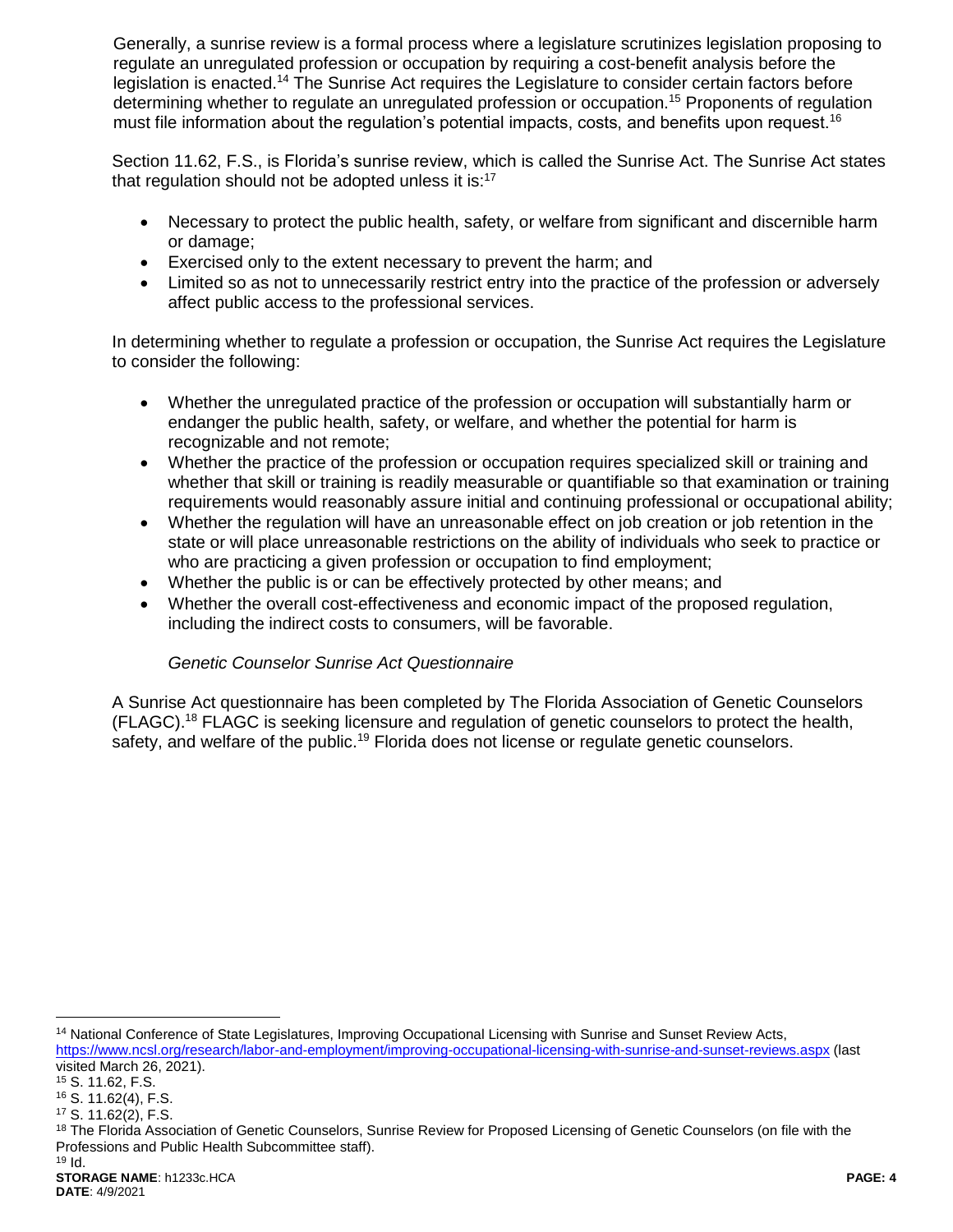Generally, a sunrise review is a formal process where a legislature scrutinizes legislation proposing to regulate an unregulated profession or occupation by requiring a cost-benefit analysis before the legislation is enacted.<sup>14</sup> The Sunrise Act requires the Legislature to consider certain factors before determining whether to regulate an unregulated profession or occupation.<sup>15</sup> Proponents of regulation must file information about the regulation's potential impacts, costs, and benefits upon request.<sup>16</sup>

Section 11.62, F.S., is Florida's sunrise review, which is called the Sunrise Act. The Sunrise Act states that regulation should not be adopted unless it is: $17$ 

- Necessary to protect the public health, safety, or welfare from significant and discernible harm or damage;
- Exercised only to the extent necessary to prevent the harm; and
- Limited so as not to unnecessarily restrict entry into the practice of the profession or adversely affect public access to the professional services.

In determining whether to regulate a profession or occupation, the Sunrise Act requires the Legislature to consider the following:

- Whether the unregulated practice of the profession or occupation will substantially harm or endanger the public health, safety, or welfare, and whether the potential for harm is recognizable and not remote;
- Whether the practice of the profession or occupation requires specialized skill or training and whether that skill or training is readily measurable or quantifiable so that examination or training requirements would reasonably assure initial and continuing professional or occupational ability;
- Whether the regulation will have an unreasonable effect on job creation or job retention in the state or will place unreasonable restrictions on the ability of individuals who seek to practice or who are practicing a given profession or occupation to find employment;
- Whether the public is or can be effectively protected by other means; and
- Whether the overall cost-effectiveness and economic impact of the proposed regulation, including the indirect costs to consumers, will be favorable.

### *Genetic Counselor Sunrise Act Questionnaire*

A Sunrise Act questionnaire has been completed by The Florida Association of Genetic Counselors (FLAGC).<sup>18</sup> FLAGC is seeking licensure and regulation of genetic counselors to protect the health, safety, and welfare of the public.<sup>19</sup> Florida does not license or regulate genetic counselors.

<sup>14</sup> National Conference of State Legislatures, Improving Occupational Licensing with Sunrise and Sunset Review Acts,

 $\overline{a}$ 

<https://www.ncsl.org/research/labor-and-employment/improving-occupational-licensing-with-sunrise-and-sunset-reviews.aspx> (last visited March 26, 2021).

<sup>15</sup> S. 11.62, F.S.

<sup>16</sup> S. 11.62(4), F.S.

<sup>17</sup> S. 11.62(2), F.S.

<sup>18</sup> The Florida Association of Genetic Counselors, Sunrise Review for Proposed Licensing of Genetic Counselors (on file with the Professions and Public Health Subcommittee staff).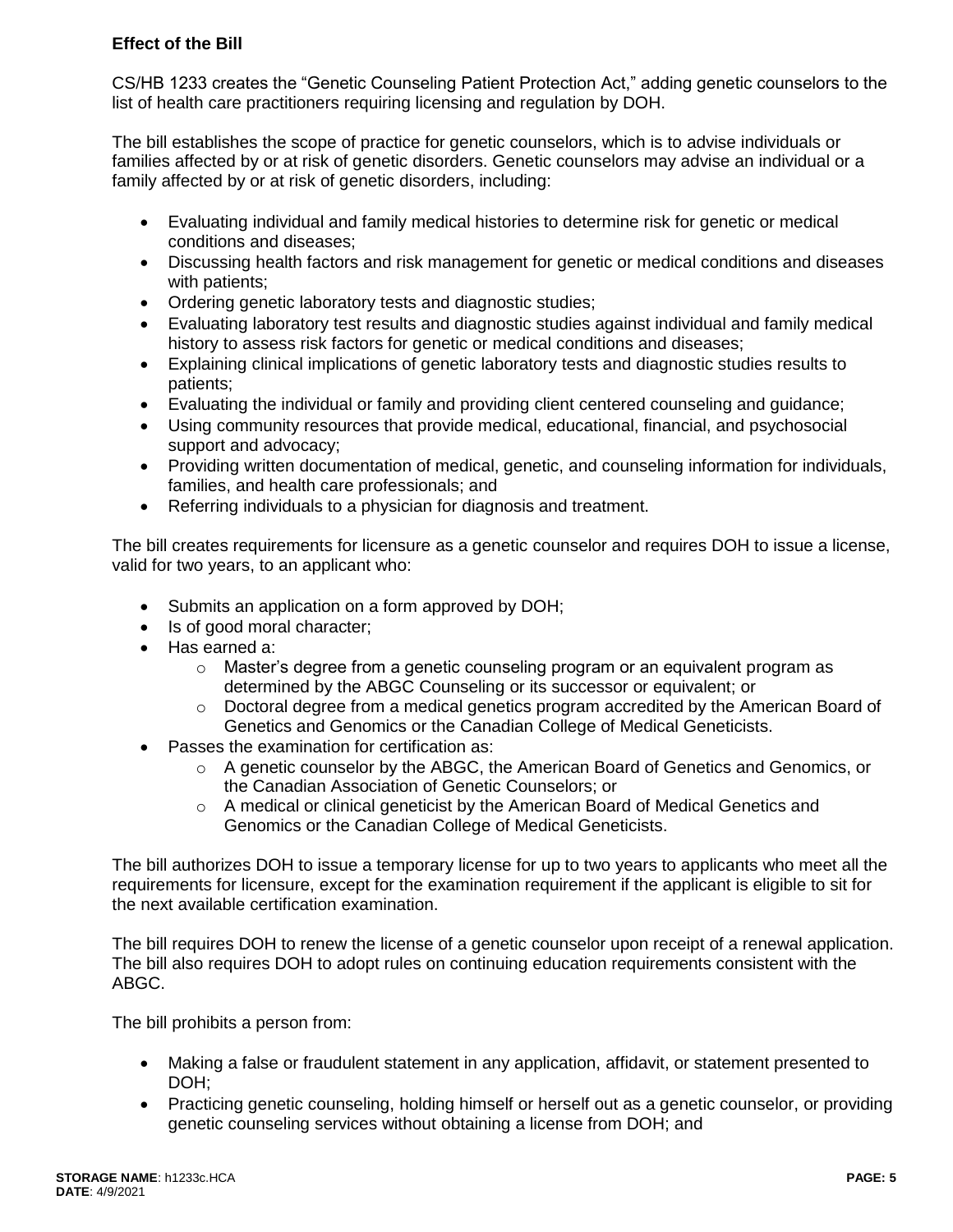# **Effect of the Bill**

CS/HB 1233 creates the "Genetic Counseling Patient Protection Act," adding genetic counselors to the list of health care practitioners requiring licensing and regulation by DOH.

The bill establishes the scope of practice for genetic counselors, which is to advise individuals or families affected by or at risk of genetic disorders. Genetic counselors may advise an individual or a family affected by or at risk of genetic disorders, including:

- Evaluating individual and family medical histories to determine risk for genetic or medical conditions and diseases;
- Discussing health factors and risk management for genetic or medical conditions and diseases with patients;
- Ordering genetic laboratory tests and diagnostic studies;
- Evaluating laboratory test results and diagnostic studies against individual and family medical history to assess risk factors for genetic or medical conditions and diseases;
- Explaining clinical implications of genetic laboratory tests and diagnostic studies results to patients;
- Evaluating the individual or family and providing client centered counseling and guidance;
- Using community resources that provide medical, educational, financial, and psychosocial support and advocacy;
- Providing written documentation of medical, genetic, and counseling information for individuals, families, and health care professionals; and
- Referring individuals to a physician for diagnosis and treatment.

The bill creates requirements for licensure as a genetic counselor and requires DOH to issue a license, valid for two years, to an applicant who:

- Submits an application on a form approved by DOH;
- Is of good moral character;
- Has earned a:
	- o Master's degree from a genetic counseling program or an equivalent program as determined by the ABGC Counseling or its successor or equivalent; or
	- $\circ$  Doctoral degree from a medical genetics program accredited by the American Board of Genetics and Genomics or the Canadian College of Medical Geneticists.
- Passes the examination for certification as:
	- $\circ$  A genetic counselor by the ABGC, the American Board of Genetics and Genomics, or the Canadian Association of Genetic Counselors; or
	- $\circ$  A medical or clinical geneticist by the American Board of Medical Genetics and Genomics or the Canadian College of Medical Geneticists.

The bill authorizes DOH to issue a temporary license for up to two years to applicants who meet all the requirements for licensure, except for the examination requirement if the applicant is eligible to sit for the next available certification examination.

The bill requires DOH to renew the license of a genetic counselor upon receipt of a renewal application. The bill also requires DOH to adopt rules on continuing education requirements consistent with the ABGC.

The bill prohibits a person from:

- Making a false or fraudulent statement in any application, affidavit, or statement presented to DOH:
- Practicing genetic counseling, holding himself or herself out as a genetic counselor, or providing genetic counseling services without obtaining a license from DOH; and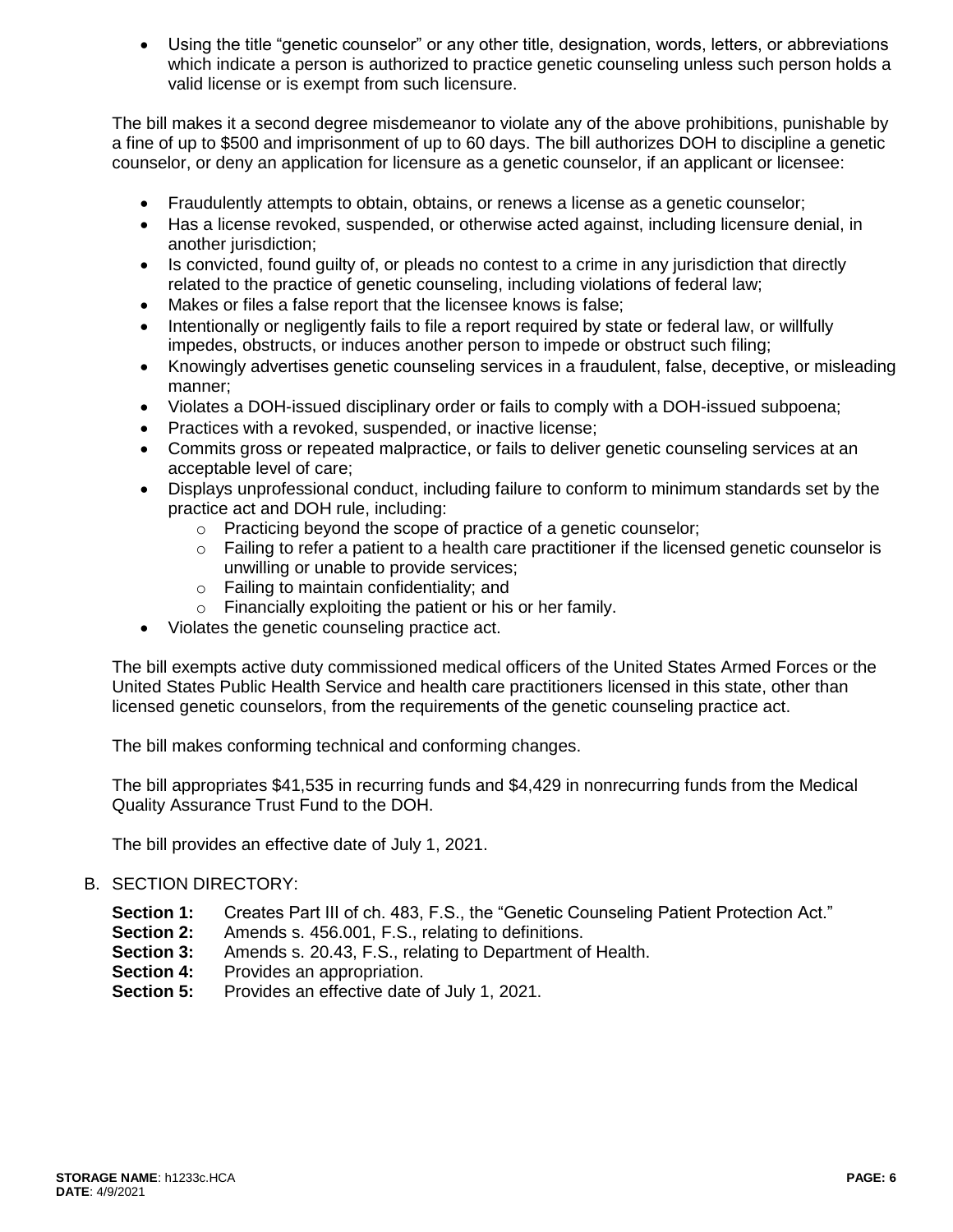Using the title "genetic counselor" or any other title, designation, words, letters, or abbreviations which indicate a person is authorized to practice genetic counseling unless such person holds a valid license or is exempt from such licensure.

The bill makes it a second degree misdemeanor to violate any of the above prohibitions, punishable by a fine of up to \$500 and imprisonment of up to 60 days. The bill authorizes DOH to discipline a genetic counselor, or deny an application for licensure as a genetic counselor, if an applicant or licensee:

- Fraudulently attempts to obtain, obtains, or renews a license as a genetic counselor;
- Has a license revoked, suspended, or otherwise acted against, including licensure denial, in another jurisdiction;
- Is convicted, found quilty of, or pleads no contest to a crime in any jurisdiction that directly related to the practice of genetic counseling, including violations of federal law;
- Makes or files a false report that the licensee knows is false;
- Intentionally or negligently fails to file a report required by state or federal law, or willfully impedes, obstructs, or induces another person to impede or obstruct such filing;
- Knowingly advertises genetic counseling services in a fraudulent, false, deceptive, or misleading manner;
- Violates a DOH-issued disciplinary order or fails to comply with a DOH-issued subpoena;
- Practices with a revoked, suspended, or inactive license;
- Commits gross or repeated malpractice, or fails to deliver genetic counseling services at an acceptable level of care;
- Displays unprofessional conduct, including failure to conform to minimum standards set by the practice act and DOH rule, including:
	- o Practicing beyond the scope of practice of a genetic counselor;
	- $\circ$  Failing to refer a patient to a health care practitioner if the licensed genetic counselor is unwilling or unable to provide services;
	- o Failing to maintain confidentiality; and
	- o Financially exploiting the patient or his or her family.
- Violates the genetic counseling practice act.

The bill exempts active duty commissioned medical officers of the United States Armed Forces or the United States Public Health Service and health care practitioners licensed in this state, other than licensed genetic counselors, from the requirements of the genetic counseling practice act.

The bill makes conforming technical and conforming changes.

The bill appropriates \$41,535 in recurring funds and \$4,429 in nonrecurring funds from the Medical Quality Assurance Trust Fund to the DOH.

The bill provides an effective date of July 1, 2021.

### B. SECTION DIRECTORY:

- **Section 1:** Creates Part III of ch. 483, F.S., the "Genetic Counseling Patient Protection Act."
- **Section 2:** Amends s. 456.001, F.S., relating to definitions.
- **Section 3:** Amends s. 20.43, F.S., relating to Department of Health.
- **Section 4:** Provides an appropriation.
- **Section 5:** Provides an effective date of July 1, 2021.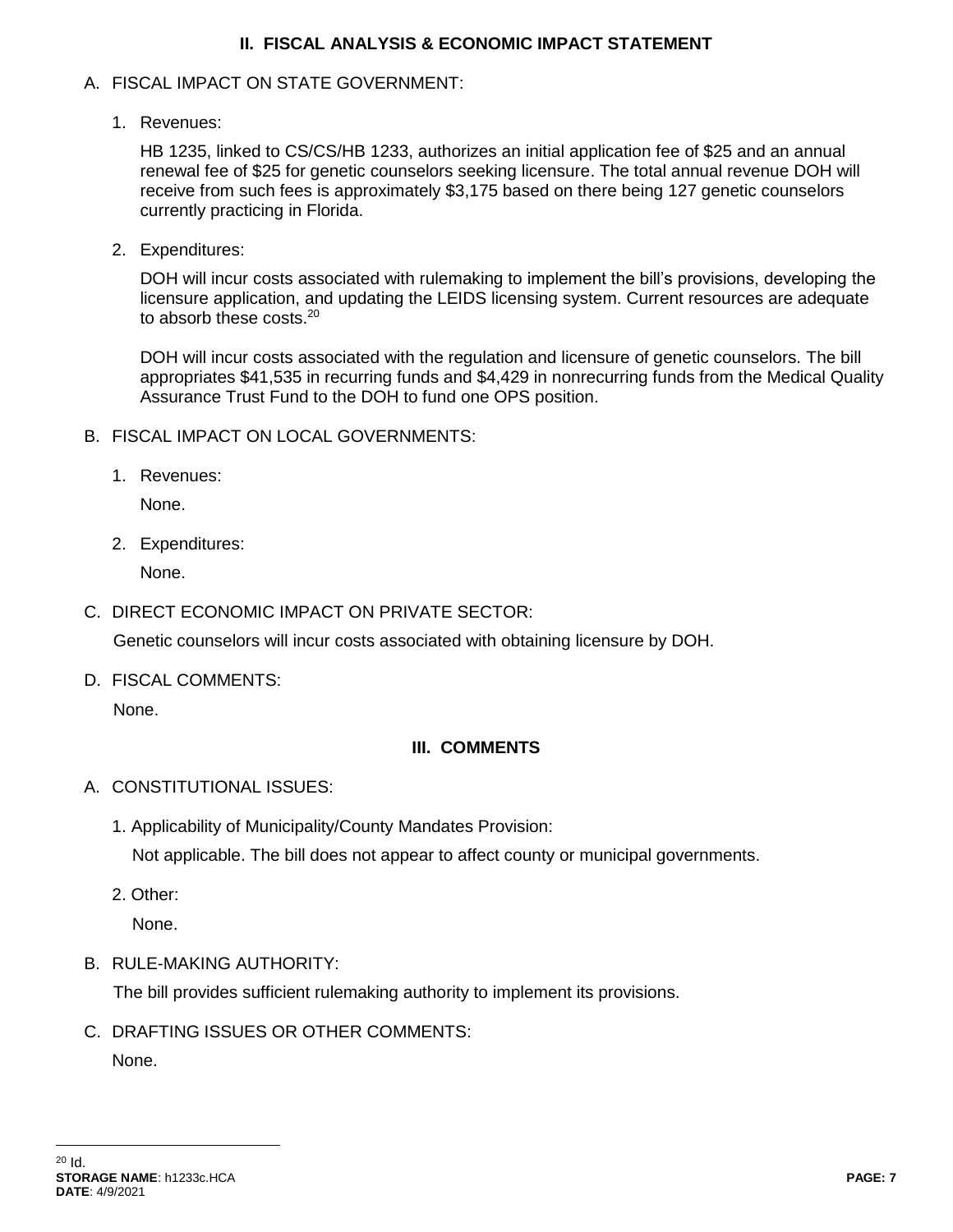### **II. FISCAL ANALYSIS & ECONOMIC IMPACT STATEMENT**

### A. FISCAL IMPACT ON STATE GOVERNMENT:

1. Revenues:

HB 1235, linked to CS/CS/HB 1233, authorizes an initial application fee of \$25 and an annual renewal fee of \$25 for genetic counselors seeking licensure. The total annual revenue DOH will receive from such fees is approximately \$3,175 based on there being 127 genetic counselors currently practicing in Florida.

2. Expenditures:

DOH will incur costs associated with rulemaking to implement the bill's provisions, developing the licensure application, and updating the LEIDS licensing system. Current resources are adequate to absorb these costs.<sup>20</sup>

DOH will incur costs associated with the regulation and licensure of genetic counselors. The bill appropriates \$41,535 in recurring funds and \$4,429 in nonrecurring funds from the Medical Quality Assurance Trust Fund to the DOH to fund one OPS position.

- B. FISCAL IMPACT ON LOCAL GOVERNMENTS:
	- 1. Revenues:

None.

2. Expenditures:

None.

C. DIRECT ECONOMIC IMPACT ON PRIVATE SECTOR:

Genetic counselors will incur costs associated with obtaining licensure by DOH.

D. FISCAL COMMENTS:

None.

# **III. COMMENTS**

- A. CONSTITUTIONAL ISSUES:
	- 1. Applicability of Municipality/County Mandates Provision: Not applicable. The bill does not appear to affect county or municipal governments.
	- 2. Other:

None.

B. RULE-MAKING AUTHORITY:

The bill provides sufficient rulemaking authority to implement its provisions.

C. DRAFTING ISSUES OR OTHER COMMENTS:

None.

 $\overline{a}$